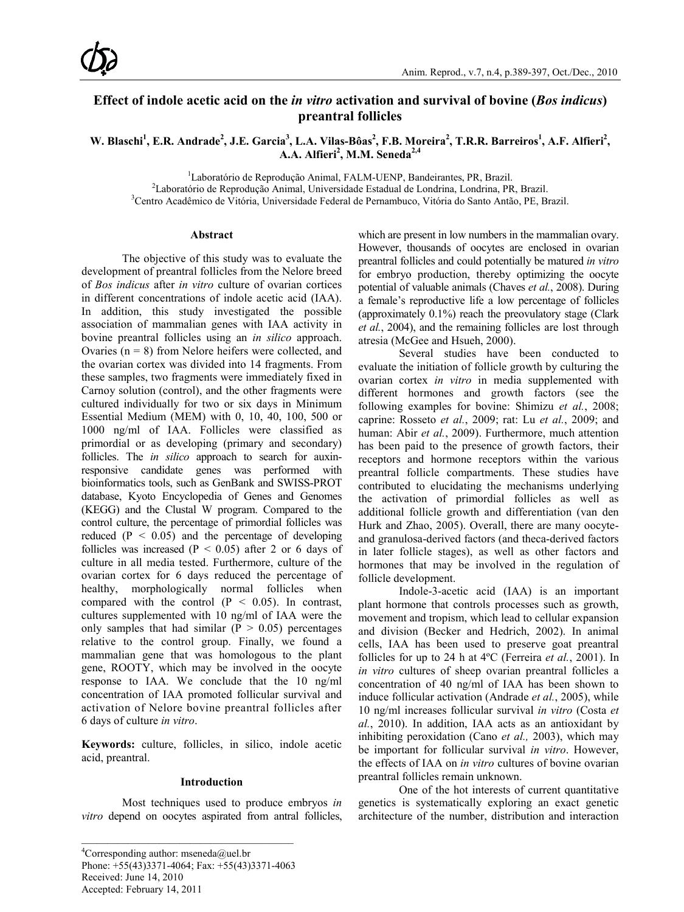## **Effect of indole acetic acid on the** *in vitro* **activation and survival of bovine (***Bos indicus***) preantral follicles**

W. Blaschi<sup>1</sup>, E.R. Andrade<sup>2</sup>, J.E. Garcia<sup>3</sup>, L.A. Vilas-Bôas<sup>2</sup>, F.B. Moreira<sup>2</sup>, T.R.R. Barreiros<sup>1</sup>, A.F. Alfieri<sup>2</sup>, A.A. Alfieri<sup>2</sup>, M.M. Seneda<sup>2,4</sup>

<sup>1</sup> Laboratório de Reprodução Animal, FALM-UENP, Bandeirantes, PR, Brazil.<br><sup>2</sup>Laboratório de Penrodução Animal, Universidade Estadual de Londrina, Londrina, PR

 ${}^{2}$ Laboratório de Reprodução Animal, Universidade Estadual de Londrina, Londrina, PR, Brazil.

<sup>3</sup>Centro Acadêmico de Vitória, Universidade Federal de Pernambuco, Vitória do Santo Antão, PE, Brazil.

#### **Abstract**

The objective of this study was to evaluate the development of preantral follicles from the Nelore breed of *Bos indicus* after *in vitro* culture of ovarian cortices in different concentrations of indole acetic acid (IAA). In addition, this study investigated the possible association of mammalian genes with IAA activity in bovine preantral follicles using an *in silico* approach. Ovaries ( $n = 8$ ) from Nelore heifers were collected, and the ovarian cortex was divided into 14 fragments. From these samples, two fragments were immediately fixed in Carnoy solution (control), and the other fragments were cultured individually for two or six days in Minimum Essential Medium (MEM) with 0, 10, 40, 100, 500 or 1000 ng/ml of IAA. Follicles were classified as primordial or as developing (primary and secondary) follicles. The *in silico* approach to search for auxinresponsive candidate genes was performed with bioinformatics tools, such as GenBank and SWISS-PROT database, Kyoto Encyclopedia of Genes and Genomes (KEGG) and the Clustal W program. Compared to the control culture, the percentage of primordial follicles was reduced ( $P < 0.05$ ) and the percentage of developing follicles was increased ( $P < 0.05$ ) after 2 or 6 days of culture in all media tested. Furthermore, culture of the ovarian cortex for 6 days reduced the percentage of healthy, morphologically normal follicles when compared with the control  $(P < 0.05)$ . In contrast, cultures supplemented with 10 ng/ml of IAA were the only samples that had similar  $(P > 0.05)$  percentages relative to the control group. Finally, we found a mammalian gene that was homologous to the plant gene, ROOTY, which may be involved in the oocyte response to IAA. We conclude that the 10 ng/ml concentration of IAA promoted follicular survival and activation of Nelore bovine preantral follicles after 6 days of culture *in vitro*.

**Keywords:** culture, follicles, in silico, indole acetic acid, preantral.

#### **Introduction**

Most techniques used to produce embryos *in vitro* depend on oocytes aspirated from antral follicles, which are present in low numbers in the mammalian ovary. However, thousands of oocytes are enclosed in ovarian preantral follicles and could potentially be matured *in vitro*  for embryo production, thereby optimizing the oocyte potential of valuable animals (Chaves *et al.*, 2008). During a female's reproductive life a low percentage of follicles (approximately 0.1%) reach the preovulatory stage (Clark *et al.*, 2004), and the remaining follicles are lost through atresia (McGee and Hsueh, 2000).

Several studies have been conducted to evaluate the initiation of follicle growth by culturing the ovarian cortex *in vitro* in media supplemented with different hormones and growth factors (see the following examples for bovine: Shimizu *et al.*, 2008; caprine: Rosseto *et al.*, 2009; rat: Lu *et al.*, 2009; and human: Abir *et al.*, 2009). Furthermore, much attention has been paid to the presence of growth factors, their receptors and hormone receptors within the various preantral follicle compartments. These studies have contributed to elucidating the mechanisms underlying the activation of primordial follicles as well as additional follicle growth and differentiation (van den Hurk and Zhao, 2005). Overall, there are many oocyteand granulosa-derived factors (and theca-derived factors in later follicle stages), as well as other factors and hormones that may be involved in the regulation of follicle development.

Indole-3-acetic acid (IAA) is an important plant hormone that controls processes such as growth, movement and tropism, which lead to cellular expansion and division (Becker and Hedrich, 2002). In animal cells, IAA has been used to preserve goat preantral follicles for up to 24 h at 4ºC (Ferreira *et al.*, 2001). In *in vitro* cultures of sheep ovarian preantral follicles a concentration of 40 ng/ml of IAA has been shown to induce follicular activation (Andrade *et al.*, 2005), while 10 ng/ml increases follicular survival *in vitro* (Costa *et al.*, 2010). In addition, IAA acts as an antioxidant by inhibiting peroxidation (Cano *et al.,* 2003), which may be important for follicular survival *in vitro*. However, the effects of IAA on *in vitro* cultures of bovine ovarian preantral follicles remain unknown.

One of the hot interests of current quantitative genetics is systematically exploring an exact genetic architecture of the number, distribution and interaction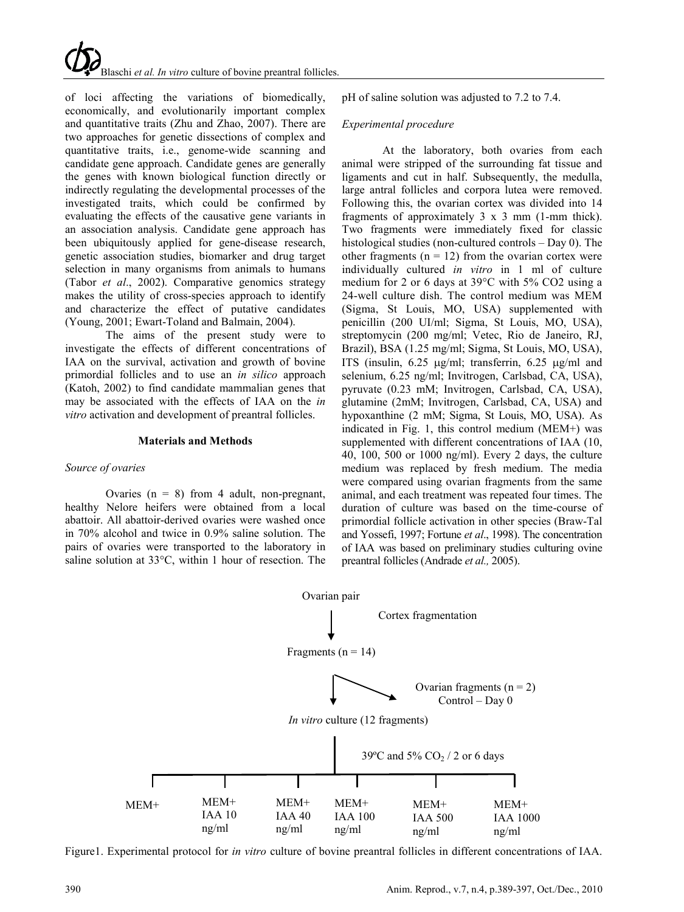of loci affecting the variations of biomedically, economically, and evolutionarily important complex and quantitative traits (Zhu and Zhao, 2007). There are two approaches for genetic dissections of complex and quantitative traits, i.e., genome-wide scanning and candidate gene approach. Candidate genes are generally the genes with known biological function directly or indirectly regulating the developmental processes of the investigated traits, which could be confirmed by evaluating the effects of the causative gene variants in an association analysis. Candidate gene approach has been ubiquitously applied for gene-disease research, genetic association studies, biomarker and drug target selection in many organisms from animals to humans (Tabor *et al*., 2002). Comparative genomics strategy makes the utility of cross-species approach to identify and characterize the effect of putative candidates (Young, 2001; Ewart-Toland and Balmain, 2004).

The aims of the present study were to investigate the effects of different concentrations of IAA on the survival, activation and growth of bovine primordial follicles and to use an *in silico* approach (Katoh, 2002) to find candidate mammalian genes that may be associated with the effects of IAA on the *in vitro* activation and development of preantral follicles.

#### **Materials and Methods**

#### *Source of ovaries*

Ovaries  $(n = 8)$  from 4 adult, non-pregnant, healthy Nelore heifers were obtained from a local abattoir. All abattoir-derived ovaries were washed once in 70% alcohol and twice in 0.9% saline solution. The pairs of ovaries were transported to the laboratory in saline solution at 33°C, within 1 hour of resection. The pH of saline solution was adjusted to 7.2 to 7.4.

#### *Experimental procedure*

At the laboratory, both ovaries from each animal were stripped of the surrounding fat tissue and ligaments and cut in half. Subsequently, the medulla, large antral follicles and corpora lutea were removed. Following this, the ovarian cortex was divided into 14 fragments of approximately 3 x 3 mm (1-mm thick). Two fragments were immediately fixed for classic histological studies (non-cultured controls – Day 0). The other fragments ( $n = 12$ ) from the ovarian cortex were individually cultured *in vitro* in 1 ml of culture medium for 2 or 6 days at 39°C with 5% CO2 using a 24-well culture dish. The control medium was MEM (Sigma, St Louis, MO, USA) supplemented with penicillin (200 UI/ml; Sigma, St Louis, MO, USA), streptomycin (200 mg/ml; Vetec, Rio de Janeiro, RJ, Brazil), BSA (1.25 mg/ml; Sigma, St Louis, MO, USA), ITS (insulin, 6.25 µg/ml; transferrin, 6.25 µg/ml and selenium, 6.25 ng/ml; Invitrogen, Carlsbad, CA, USA), pyruvate (0.23 mM; Invitrogen, Carlsbad, CA, USA), glutamine (2mM; Invitrogen, Carlsbad, CA, USA) and hypoxanthine (2 mM; Sigma, St Louis, MO, USA). As indicated in Fig. 1, this control medium (MEM+) was supplemented with different concentrations of IAA (10, 40, 100, 500 or 1000 ng/ml). Every 2 days, the culture medium was replaced by fresh medium. The media were compared using ovarian fragments from the same animal, and each treatment was repeated four times. The duration of culture was based on the time-course of primordial follicle activation in other species (Braw-Tal and Yossefi, 1997; Fortune *et al*., 1998). The concentration of IAA was based on preliminary studies culturing ovine preantral follicles (Andrade *et al.,* 2005).



Figure1. Experimental protocol for *in vitro* culture of bovine preantral follicles in different concentrations of IAA.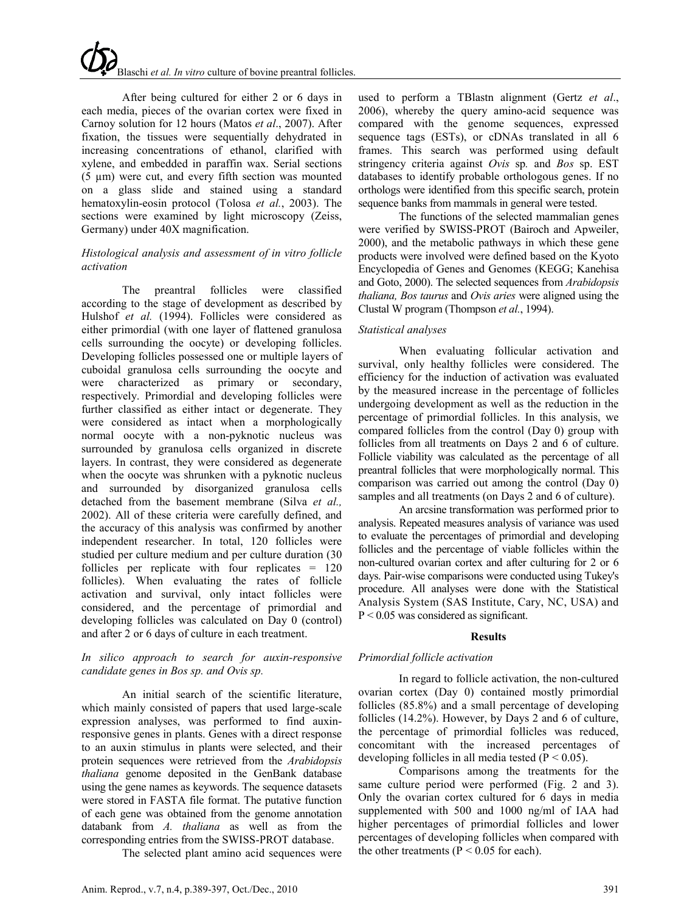# Blaschi *et al. In vitro* culture of bovine preantral follicles.

After being cultured for either 2 or 6 days in each media, pieces of the ovarian cortex were fixed in Carnoy solution for 12 hours (Matos *et al*., 2007). After fixation, the tissues were sequentially dehydrated in increasing concentrations of ethanol, clarified with xylene, and embedded in paraffin wax. Serial sections (5 µm) were cut, and every fifth section was mounted on a glass slide and stained using a standard hematoxylin-eosin protocol (Tolosa *et al.*, 2003). The sections were examined by light microscopy (Zeiss, Germany) under 40X magnification.

## *Histological analysis and assessment of in vitro follicle activation*

The preantral follicles were classified according to the stage of development as described by Hulshof *et al.* (1994). Follicles were considered as either primordial (with one layer of flattened granulosa cells surrounding the oocyte) or developing follicles. Developing follicles possessed one or multiple layers of cuboidal granulosa cells surrounding the oocyte and were characterized as primary or secondary, respectively. Primordial and developing follicles were further classified as either intact or degenerate. They were considered as intact when a morphologically normal oocyte with a non-pyknotic nucleus was surrounded by granulosa cells organized in discrete layers. In contrast, they were considered as degenerate when the oocyte was shrunken with a pyknotic nucleus and surrounded by disorganized granulosa cells detached from the basement membrane (Silva *et al.,*  2002). All of these criteria were carefully defined, and the accuracy of this analysis was confirmed by another independent researcher. In total, 120 follicles were studied per culture medium and per culture duration (30 follicles per replicate with four replicates = 120 follicles). When evaluating the rates of follicle activation and survival, only intact follicles were considered, and the percentage of primordial and developing follicles was calculated on Day 0 (control) and after 2 or 6 days of culture in each treatment.

### *In silico approach to search for auxin-responsive candidate genes in Bos sp. and Ovis sp.*

An initial search of the scientific literature, which mainly consisted of papers that used large-scale expression analyses, was performed to find auxinresponsive genes in plants. Genes with a direct response to an auxin stimulus in plants were selected, and their protein sequences were retrieved from the *Arabidopsis thaliana* genome deposited in the GenBank database using the gene names as keywords. The sequence datasets were stored in FASTA file format. The putative function of each gene was obtained from the genome annotation databank from *A. thaliana* as well as from the corresponding entries from the SWISS-PROT database.

The selected plant amino acid sequences were

used to perform a TBlastn alignment (Gertz *et al*., 2006), whereby the query amino-acid sequence was compared with the genome sequences, expressed sequence tags (ESTs), or cDNAs translated in all 6 frames. This search was performed using default stringency criteria against *Ovis* sp*.* and *Bos* sp. EST databases to identify probable orthologous genes. If no orthologs were identified from this specific search, protein sequence banks from mammals in general were tested.

The functions of the selected mammalian genes were verified by SWISS-PROT (Bairoch and Apweiler, 2000), and the metabolic pathways in which these gene products were involved were defined based on the Kyoto Encyclopedia of Genes and Genomes (KEGG; Kanehisa and Goto, 2000). The selected sequences from *Arabidopsis thaliana, Bos taurus* and *Ovis aries* were aligned using the Clustal W program (Thompson *et al.*, 1994).

### *Statistical analyses*

When evaluating follicular activation and survival, only healthy follicles were considered. The efficiency for the induction of activation was evaluated by the measured increase in the percentage of follicles undergoing development as well as the reduction in the percentage of primordial follicles. In this analysis, we compared follicles from the control (Day 0) group with follicles from all treatments on Days 2 and 6 of culture. Follicle viability was calculated as the percentage of all preantral follicles that were morphologically normal. This comparison was carried out among the control (Day 0) samples and all treatments (on Days 2 and 6 of culture).

An arcsine transformation was performed prior to analysis. Repeated measures analysis of variance was used to evaluate the percentages of primordial and developing follicles and the percentage of viable follicles within the non-cultured ovarian cortex and after culturing for 2 or 6 days. Pair-wise comparisons were conducted using Tukey's procedure. All analyses were done with the Statistical Analysis System (SAS Institute, Cary, NC, USA) and P < 0.05 was considered as significant.

## **Results**

## *Primordial follicle activation*

In regard to follicle activation, the non-cultured ovarian cortex (Day 0) contained mostly primordial follicles (85.8%) and a small percentage of developing follicles (14.2%). However, by Days 2 and 6 of culture, the percentage of primordial follicles was reduced, concomitant with the increased percentages of developing follicles in all media tested ( $P < 0.05$ ).

Comparisons among the treatments for the same culture period were performed (Fig. 2 and 3). Only the ovarian cortex cultured for 6 days in media supplemented with 500 and 1000 ng/ml of IAA had higher percentages of primordial follicles and lower percentages of developing follicles when compared with the other treatments ( $P < 0.05$  for each).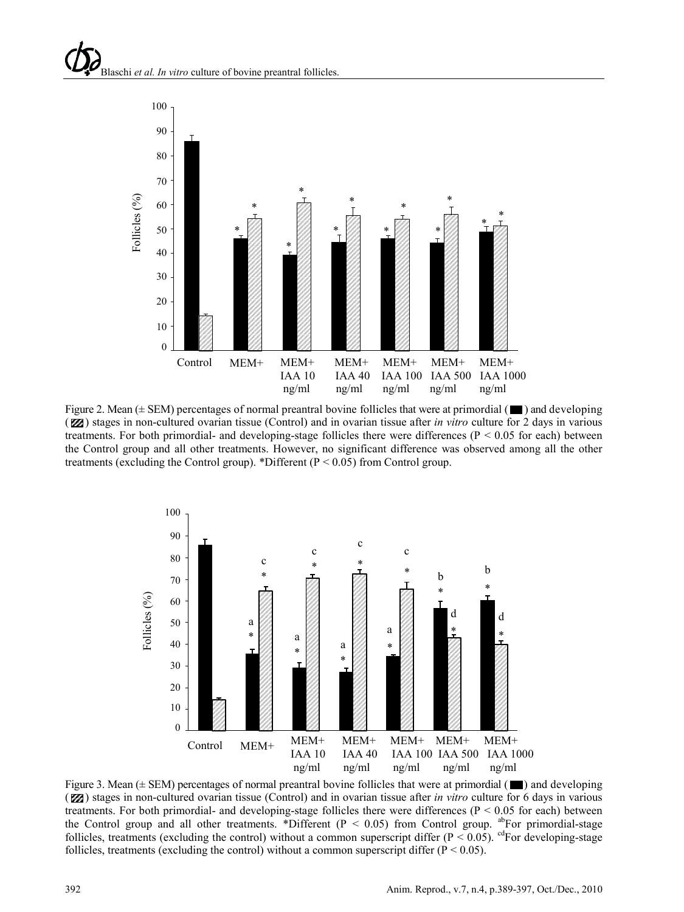

Figure 2. Mean ( $\pm$  SEM) percentages of normal preantral bovine follicles that were at primordial ( $\blacksquare$ ) and developing (**Z**) stages in non-cultured ovarian tissue (Control) and in ovarian tissue after *in vitro* culture for 2 days in various treatments. For both primordial- and developing-stage follicles there were differences ( $P < 0.05$  for each) between the Control group and all other treatments. However, no significant difference was observed among all the other treatments (excluding the Control group). \*Different (P < 0.05) from Control group.



Figure 3. Mean  $(\pm$  SEM) percentages of normal preantral bovine follicles that were at primordial ( $\blacksquare$ ) and developing (**Z**) stages in non-cultured ovarian tissue (Control) and in ovarian tissue after *in vitro* culture for 6 days in various treatments. For both primordial- and developing-stage follicles there were differences ( $P < 0.05$  for each) between the Control group and all other treatments. \*Different ( $P < 0.05$ ) from Control group. <sup>ab</sup>For primordial-stage follicles, treatments (excluding the control) without a common superscript differ ( $P < 0.05$ ). <sup>cd</sup>For developing-stage follicles, treatments (excluding the control) without a common superscript differ ( $P < 0.05$ ).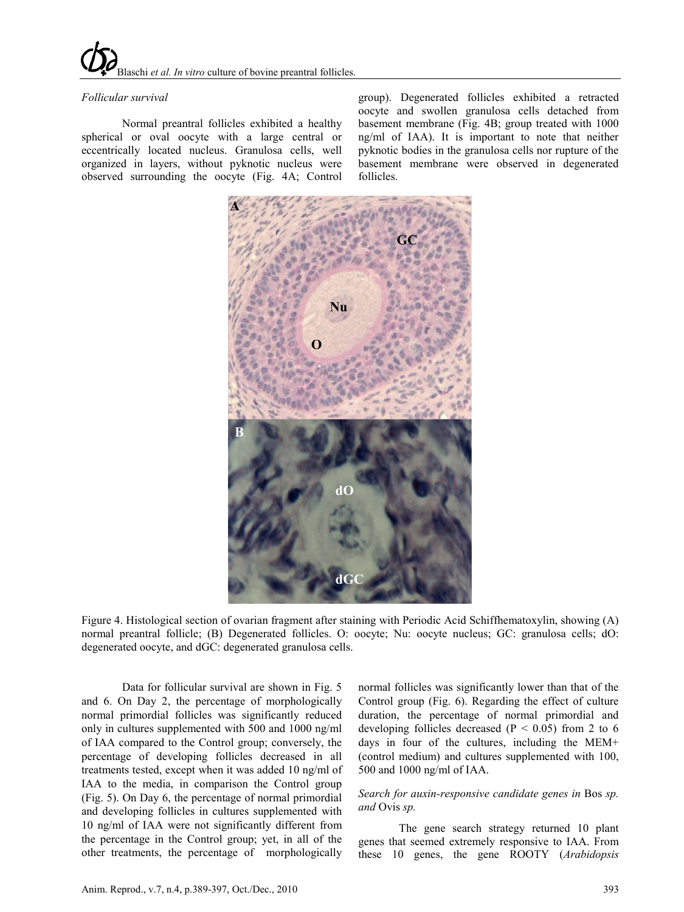## *Follicular survival*

Normal preantral follicles exhibited a healthy spherical or oval oocyte with a large central or eccentrically located nucleus. Granulosa cells, well organized in layers, without pyknotic nucleus were observed surrounding the oocyte (Fig. 4A; Control

group). Degenerated follicles exhibited a retracted oocyte and swollen granulosa cells detached from basement membrane (Fig. 4B; group treated with 1000 ng/ml of IAA). It is important to note that neither pyknotic bodies in the granulosa cells nor rupture of the basement membrane were observed in degenerated follicles.



Figure 4. Histological section of ovarian fragment after staining with Periodic Acid Schiffhematoxylin, showing (A) normal preantral follicle; (B) Degenerated follicles. O: oocyte; Nu: oocyte nucleus; GC: granulosa cells; dO: degenerated oocyte, and dGC: degenerated granulosa cells.

Data for follicular survival are shown in Fig. 5 and 6. On Day 2, the percentage of morphologically normal primordial follicles was significantly reduced only in cultures supplemented with 500 and 1000 ng/ml of IAA compared to the Control group; conversely, the percentage of developing follicles decreased in all treatments tested, except when it was added 10 ng/ml of IAA to the media, in comparison the Control group (Fig. 5). On Day 6, the percentage of normal primordial and developing follicles in cultures supplemented with 10 ng/ml of IAA were not significantly different from the percentage in the Control group; yet, in all of the other treatments, the percentage of morphologically

normal follicles was significantly lower than that of the Control group (Fig. 6). Regarding the effect of culture duration, the percentage of normal primordial and developing follicles decreased ( $P < 0.05$ ) from 2 to 6 days in four of the cultures, including the MEM+ (control medium) and cultures supplemented with 100, 500 and 1000 ng/ml of IAA.

### *Search for auxin-responsive candidate genes in* Bos *sp. and* Ovis *sp.*

The gene search strategy returned 10 plant genes that seemed extremely responsive to IAA. From these 10 genes, the gene ROOTY (*Arabidopsis*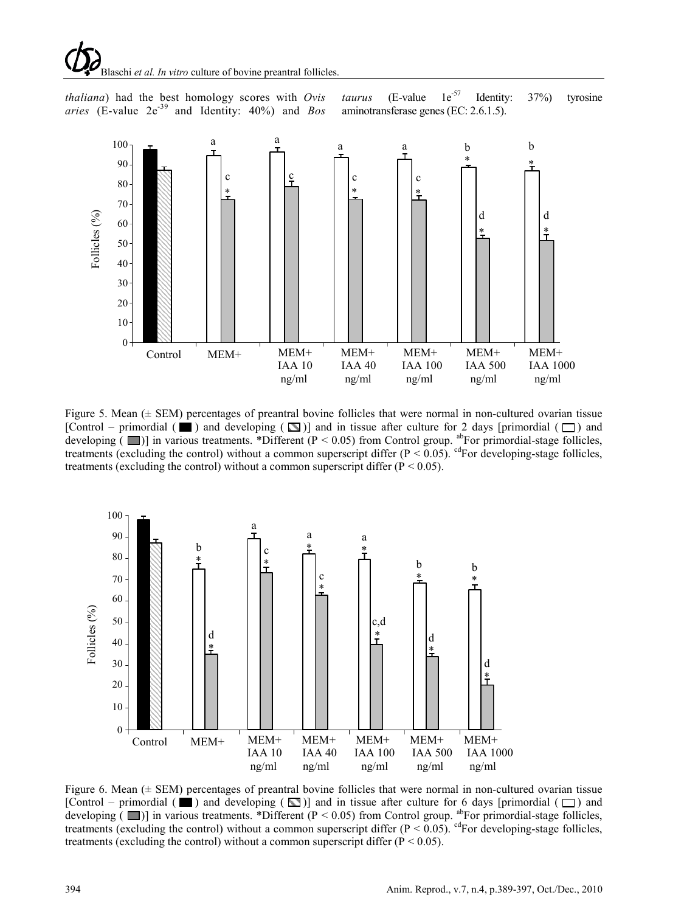Blaschi *et al. In vitro* culture of bovine preantral follicles.

*thaliana*) had the best homology scores with *Ovis*  aries (E-value 2e<sup>-39</sup> and Identity: 40%) and *Bos* 

*taurus* (E-value  $1e^{-57}$  Identity: 37%) tyrosine aminotransferase genes (EC: 2.6.1.5).



Figure 5. Mean ( $\pm$  SEM) percentages of preantral bovine follicles that were normal in non-cultured ovarian tissue [Control – primordial ( $\Box$ ) and developing ( $\Box$ )] and in tissue after culture for 2 days [primordial ( $\Box$ ) and developing  $(\Box)$  in various treatments. \*Different (P < 0.05) from Control group. <sup>ab</sup>For primordial-stage follicles, treatments (excluding the control) without a common superscript differ ( $P < 0.05$ ). <sup>cd</sup>For developing-stage follicles, treatments (excluding the control) without a common superscript differ ( $P < 0.05$ ).



Figure 6. Mean ( $\pm$  SEM) percentages of preantral bovine follicles that were normal in non-cultured ovarian tissue [Control – primordial ( $\Box$ ) and developing ( $\Box$ )] and in tissue after culture for 6 days [primordial ( $\Box$ ) and developing ( $\Box$ ) in various treatments. \*Different (P < 0.05) from Control group. <sup>ab</sup>For primordial-stage follicles, treatments (excluding the control) without a common superscript differ  $(P < 0.05)$ . <sup>cd</sup>For developing-stage follicles, treatments (excluding the control) without a common superscript differ  $(P < 0.05)$ .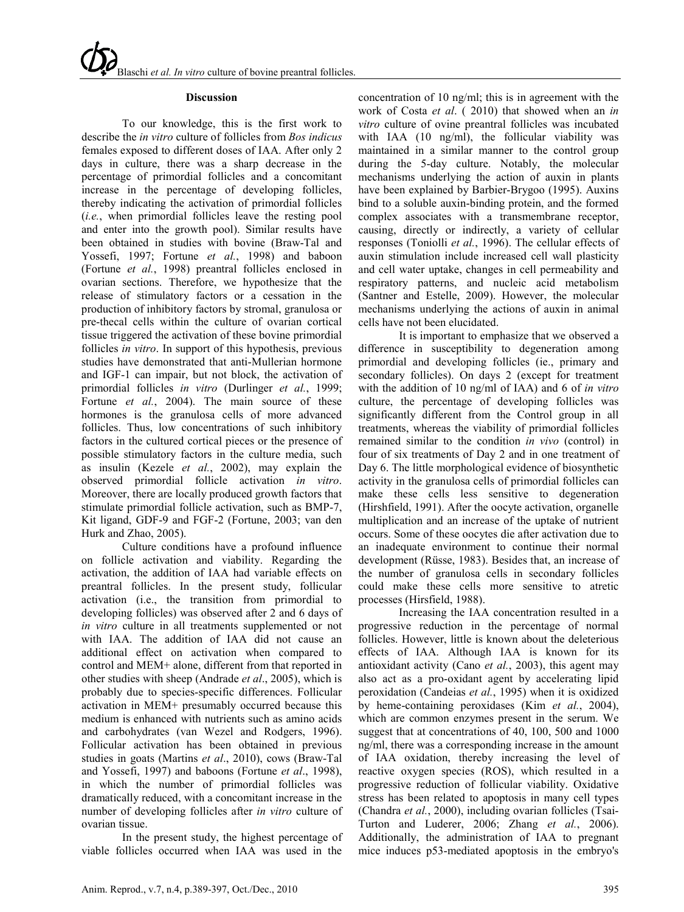#### **Discussion**

To our knowledge, this is the first work to describe the *in vitro* culture of follicles from *Bos indicus* females exposed to different doses of IAA. After only 2 days in culture, there was a sharp decrease in the percentage of primordial follicles and a concomitant increase in the percentage of developing follicles, thereby indicating the activation of primordial follicles (*i.e.*, when primordial follicles leave the resting pool and enter into the growth pool). Similar results have been obtained in studies with bovine (Braw-Tal and Yossefi, 1997; Fortune *et al.*, 1998) and baboon (Fortune *et al.*, 1998) preantral follicles enclosed in ovarian sections. Therefore, we hypothesize that the release of stimulatory factors or a cessation in the production of inhibitory factors by stromal, granulosa or pre-thecal cells within the culture of ovarian cortical tissue triggered the activation of these bovine primordial follicles *in vitro*. In support of this hypothesis, previous studies have demonstrated that anti-Mullerian hormone and IGF-1 can impair, but not block, the activation of primordial follicles *in vitro* (Durlinger *et al.*, 1999; Fortune *et al.*, 2004). The main source of these hormones is the granulosa cells of more advanced follicles. Thus, low concentrations of such inhibitory factors in the cultured cortical pieces or the presence of possible stimulatory factors in the culture media, such as insulin (Kezele *et al.*, 2002), may explain the observed primordial follicle activation *in vitro*. Moreover, there are locally produced growth factors that stimulate primordial follicle activation, such as BMP-7, Kit ligand, GDF-9 and FGF-2 (Fortune, 2003; van den Hurk and Zhao, 2005).

Culture conditions have a profound influence on follicle activation and viability. Regarding the activation, the addition of IAA had variable effects on preantral follicles. In the present study, follicular activation (i.e., the transition from primordial to developing follicles) was observed after 2 and 6 days of *in vitro* culture in all treatments supplemented or not with IAA. The addition of IAA did not cause an additional effect on activation when compared to control and MEM+ alone, different from that reported in other studies with sheep (Andrade *et al*., 2005), which is probably due to species-specific differences. Follicular activation in MEM+ presumably occurred because this medium is enhanced with nutrients such as amino acids and carbohydrates (van Wezel and Rodgers, 1996). Follicular activation has been obtained in previous studies in goats (Martins *et al*., 2010), cows (Braw-Tal and Yossefi, 1997) and baboons (Fortune *et al*., 1998), in which the number of primordial follicles was dramatically reduced, with a concomitant increase in the number of developing follicles after *in vitro* culture of ovarian tissue.

In the present study, the highest percentage of viable follicles occurred when IAA was used in the

concentration of 10 ng/ml; this is in agreement with the work of Costa *et al*. ( 2010) that showed when an *in vitro* culture of ovine preantral follicles was incubated with IAA (10 ng/ml), the follicular viability was maintained in a similar manner to the control group during the 5-day culture. Notably, the molecular mechanisms underlying the action of auxin in plants have been explained by Barbier-Brygoo (1995). Auxins bind to a soluble auxin-binding protein, and the formed complex associates with a transmembrane receptor, causing, directly or indirectly, a variety of cellular responses (Toniolli *et al.*, 1996). The cellular effects of auxin stimulation include increased cell wall plasticity and cell water uptake, changes in cell permeability and respiratory patterns, and nucleic acid metabolism (Santner and Estelle, 2009). However, the molecular mechanisms underlying the actions of auxin in animal cells have not been elucidated.

It is important to emphasize that we observed a difference in susceptibility to degeneration among primordial and developing follicles (ie., primary and secondary follicles). On days 2 (except for treatment with the addition of 10 ng/ml of IAA) and 6 of *in vitro* culture, the percentage of developing follicles was significantly different from the Control group in all treatments, whereas the viability of primordial follicles remained similar to the condition *in vivo* (control) in four of six treatments of Day 2 and in one treatment of Day 6. The little morphological evidence of biosynthetic activity in the granulosa cells of primordial follicles can make these cells less sensitive to degeneration (Hirshfield, 1991). After the oocyte activation, organelle multiplication and an increase of the uptake of nutrient occurs. Some of these oocytes die after activation due to an inadequate environment to continue their normal development (Rüsse, 1983). Besides that, an increase of the number of granulosa cells in secondary follicles could make these cells more sensitive to atretic processes (Hirsfield, 1988).

Increasing the IAA concentration resulted in a progressive reduction in the percentage of normal follicles. However, little is known about the deleterious effects of IAA. Although IAA is known for its antioxidant activity (Cano *et al.*, 2003), this agent may also act as a pro-oxidant agent by accelerating lipid peroxidation (Candeias *et al.*, 1995) when it is oxidized by heme-containing peroxidases (Kim *et al.*, 2004), which are common enzymes present in the serum. We suggest that at concentrations of 40, 100, 500 and 1000 ng/ml, there was a corresponding increase in the amount of IAA oxidation, thereby increasing the level of reactive oxygen species (ROS), which resulted in a progressive reduction of follicular viability. Oxidative stress has been related to apoptosis in many cell types (Chandra *et al.*, 2000), including ovarian follicles (Tsai-Turton and Luderer, 2006; Zhang *et al.*, 2006). Additionally, the administration of IAA to pregnant mice induces p53-mediated apoptosis in the embryo's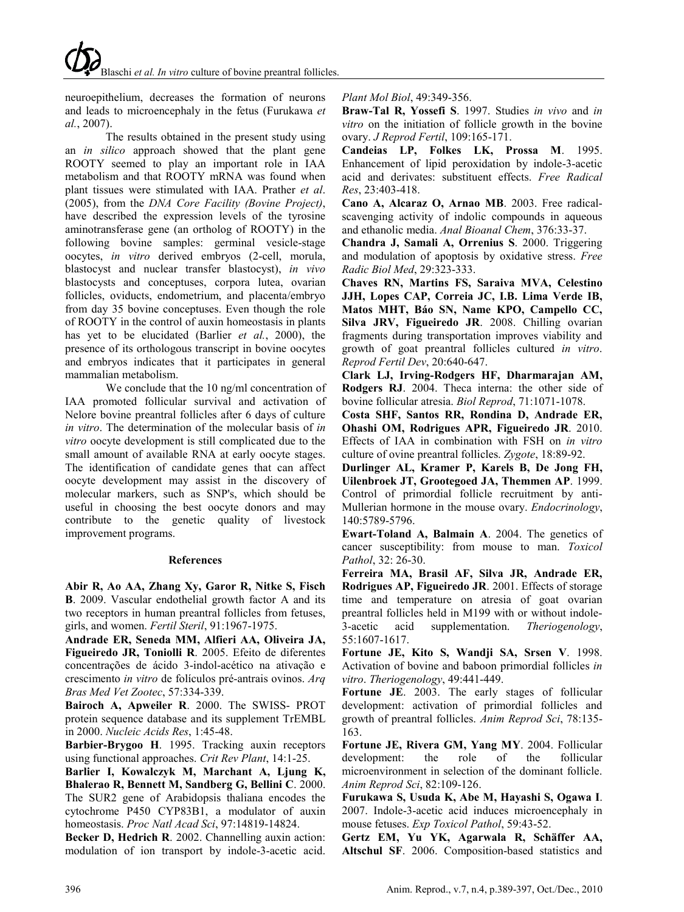neuroepithelium, decreases the formation of neurons and leads to microencephaly in the fetus (Furukawa *et al.*, 2007).

The results obtained in the present study using an *in silico* approach showed that the plant gene ROOTY seemed to play an important role in IAA metabolism and that ROOTY mRNA was found when plant tissues were stimulated with IAA. Prather *et al*. (2005), from the *DNA Core Facility (Bovine Project)*, have described the expression levels of the tyrosine aminotransferase gene (an ortholog of ROOTY) in the following bovine samples: germinal vesicle-stage oocytes, *in vitro* derived embryos (2-cell, morula, blastocyst and nuclear transfer blastocyst), *in vivo* blastocysts and conceptuses, corpora lutea, ovarian follicles, oviducts, endometrium, and placenta/embryo from day 35 bovine conceptuses. Even though the role of ROOTY in the control of auxin homeostasis in plants has yet to be elucidated (Barlier *et al.*, 2000), the presence of its orthologous transcript in bovine oocytes and embryos indicates that it participates in general mammalian metabolism.

We conclude that the 10 ng/ml concentration of IAA promoted follicular survival and activation of Nelore bovine preantral follicles after 6 days of culture *in vitro*. The determination of the molecular basis of *in vitro* oocyte development is still complicated due to the small amount of available RNA at early oocyte stages. The identification of candidate genes that can affect oocyte development may assist in the discovery of molecular markers, such as SNP's, which should be useful in choosing the best oocyte donors and may contribute to the genetic quality of livestock improvement programs.

#### **References**

**Abir R, Ao AA, Zhang Xy, Garor R, Nitke S, Fisch B**. 2009. [Vascular endothelial growth factor A and its](http://www.sciencedirect.com/science?_ob=ArticleURL&_udi=B6T6K-4W75RVD-4&_user=10&_coverDate=05%2F05%2F2009&_alid=1171368949&_rdoc=14&_fmt=high&_orig=search&_cdi=5033&_st=13&_docanchor=&_ct=267&_acct=C000050221&_version=1&_urlVersion=0&_userid=10&md5=9f1b8caf2d165afbe3a1d84a601c5692)  [two receptors in human preantral follicles from fetuses,](http://www.sciencedirect.com/science?_ob=ArticleURL&_udi=B6T6K-4W75RVD-4&_user=10&_coverDate=05%2F05%2F2009&_alid=1171368949&_rdoc=14&_fmt=high&_orig=search&_cdi=5033&_st=13&_docanchor=&_ct=267&_acct=C000050221&_version=1&_urlVersion=0&_userid=10&md5=9f1b8caf2d165afbe3a1d84a601c5692)  [girls, and women.](http://www.sciencedirect.com/science?_ob=ArticleURL&_udi=B6T6K-4W75RVD-4&_user=10&_coverDate=05%2F05%2F2009&_alid=1171368949&_rdoc=14&_fmt=high&_orig=search&_cdi=5033&_st=13&_docanchor=&_ct=267&_acct=C000050221&_version=1&_urlVersion=0&_userid=10&md5=9f1b8caf2d165afbe3a1d84a601c5692) *Fertil Steril*, 91:1967-1975.

**Andrade ER, Seneda MM, Alfieri AA, Oliveira JA, Figueiredo JR, Toniolli R**. 2005. Efeito de diferentes concentrações de ácido 3-indol-acético na ativação e crescimento *in vitro* de folículos pré-antrais ovinos. *Arq Bras Med Vet Zootec*, 57:334-339.

**Bairoch A, Apweiler R**. 2000. The SWISS- PROT protein sequence database and its supplement TrEMBL in 2000. *Nucleic Acids Res*, 1:45-48.

**Barbier-Brygoo H**. 1995. Tracking auxin receptors using functional approaches. *Crit Rev Plant*, 14:1-25.

**Barlier I, Kowalczyk M, Marchant A, Ljung K, Bhalerao R, Bennett M, Sandberg G, Bellini C**. 2000. The SUR2 gene of Arabidopsis thaliana encodes the cytochrome P450 CYP83B1, a modulator of auxin homeostasis. *Proc Natl Acad Sci*, 97:14819-14824.

**Becker D, Hedrich R**. 2002. Channelling auxin action: modulation of ion transport by indole-3-acetic acid.

*Plant Mol Biol*, 49:349-356.

**Braw-Tal R, Yossefi S**. 1997. Studies *in vivo* and *in vitro* on the initiation of follicle growth in the bovine ovary. *J Reprod Fertil*, 109:165-171.

**Candeias LP, Folkes LK, Prossa M**. 1995. Enhancement of lipid peroxidation by indole-3-acetic acid and derivates: substituent effects. *Free Radical Res*, 23:403-418.

**Cano A, Alcaraz O, Arnao MB**. 2003. Free radicalscavenging activity of indolic compounds in aqueous and ethanolic media. *Anal Bioanal Chem*, 376:33-37.

**Chandra J, Samali A, Orrenius S**. 2000. Triggering and modulation of apoptosis by oxidative stress. *Free Radic Biol Med*, 29:323-333.

**Chaves RN, Martins FS, Saraiva MVA, Celestino JJH, Lopes CAP, Correia JC, I.B. Lima Verde IB, Matos MHT, Báo SN, Name KPO, Campello CC, Silva JRV, Figueiredo JR**. 2008. Chilling ovarian fragments during transportation improves viability and growth of goat preantral follicles cultured *in vitro*. *Reprod Fertil Dev*, 20:640-647.

**Clark LJ, Irving-Rodgers HF, Dharmarajan AM, Rodgers RJ**. 2004. Theca interna: the other side of bovine follicular atresia. *Biol Reprod*, 71:1071-1078.

**Costa SHF, Santos RR, Rondina D, Andrade ER, Ohashi OM, Rodrigues APR, Figueiredo JR**. 2010. Effects of IAA in combination with FSH on *in vitro* culture of ovine preantral follicles. *Zygote*, 18:89-92.

**Durlinger AL, Kramer P, Karels B, De Jong FH, Uilenbroek JT, Grootegoed JA, Themmen AP**. 1999. Control of primordial follicle recruitment by anti-Mullerian hormone in the mouse ovary. *Endocrinology*, 140:5789-5796.

**Ewart-Toland A, Balmain A**. 2004. The genetics of cancer susceptibility: from mouse to man. *Toxicol Pathol*, 32: 26-30.

**Ferreira MA, Brasil AF, Silva JR, Andrade ER, Rodrigues AP, Figueiredo JR**. 2001. Effects of storage time and temperature on atresia of goat ovarian preantral follicles held in M199 with or without indole-3-acetic acid supplementation. *Theriogenology*, 55:1607-1617.

**Fortune JE, Kito S, Wandji SA, Srsen V**. 1998. Activation of bovine and baboon primordial follicles *in vitro*. *Theriogenology*, 49:441-449.

**Fortune JE**. 2003. The early stages of follicular development: activation of primordial follicles and growth of preantral follicles. *Anim Reprod Sci*, 78:135- 163.

**Fortune JE, Rivera GM, Yang MY**. 2004. Follicular development: the role of the follicular microenvironment in selection of the dominant follicle. *Anim Reprod Sci*, 82:109-126.

**Furukawa S, Usuda K, Abe M, Hayashi S, Ogawa I**. 2007. [Indole-3-acetic acid induces microencephaly in](http://www.ncbi.nlm.nih.gov/pubmed/17583487?ordinalpos=19&itool=EntrezSystem2.PEntrez.Pubmed.Pubmed_ResultsPanel.Pubmed_DefaultReportPanel.Pubmed_RVDocSum)  [mouse fetuses.](http://www.ncbi.nlm.nih.gov/pubmed/17583487?ordinalpos=19&itool=EntrezSystem2.PEntrez.Pubmed.Pubmed_ResultsPanel.Pubmed_DefaultReportPanel.Pubmed_RVDocSum) *Exp Toxicol Pathol*, 59:43-52.

**Gertz EM, Yu YK, Agarwala R, Schäffer AA, Altschul SF**. 2006. Composition-based statistics and